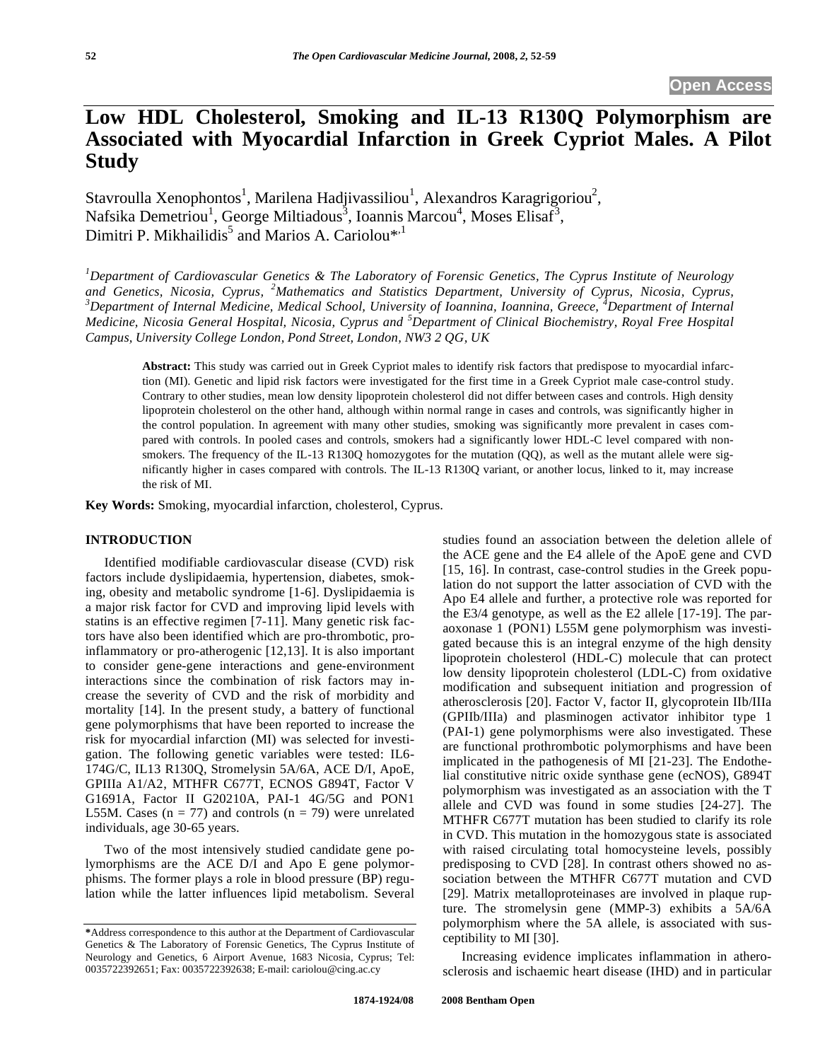# **Low HDL Cholesterol, Smoking and IL-13 R130Q Polymorphism are Associated with Myocardial Infarction in Greek Cypriot Males. A Pilot Study**

Stavroulla Xenophontos<sup>1</sup>, Marilena Hadjivassiliou<sup>1</sup>, Alexandros Karagrigoriou<sup>2</sup>, Nafsika Demetriou<sup>1</sup>, George Miltiadous<sup>3</sup>, Ioannis Marcou<sup>4</sup>, Moses Elisaf<sup>3</sup>, Dimitri P. Mikhailidis<sup>5</sup> and Marios A. Cariolou<sup>\*,1</sup>

*1 Department of Cardiovascular Genetics & The Laboratory of Forensic Genetics, The Cyprus Institute of Neurology and Genetics, Nicosia, Cyprus, <sup>2</sup> Mathematics and Statistics Department, University of Cyprus, Nicosia, Cyprus, 3 Department of Internal Medicine, Medical School, University of Ioannina, Ioannina, Greece, <sup>4</sup> Department of Internal Medicine, Nicosia General Hospital, Nicosia, Cyprus and <sup>5</sup> Department of Clinical Biochemistry, Royal Free Hospital Campus, University College London, Pond Street, London, NW3 2 QG, UK* 

**Abstract:** This study was carried out in Greek Cypriot males to identify risk factors that predispose to myocardial infarction (MI). Genetic and lipid risk factors were investigated for the first time in a Greek Cypriot male case-control study. Contrary to other studies, mean low density lipoprotein cholesterol did not differ between cases and controls. High density lipoprotein cholesterol on the other hand, although within normal range in cases and controls, was significantly higher in the control population. In agreement with many other studies, smoking was significantly more prevalent in cases compared with controls. In pooled cases and controls, smokers had a significantly lower HDL-C level compared with nonsmokers. The frequency of the IL-13 R130Q homozygotes for the mutation (QQ), as well as the mutant allele were significantly higher in cases compared with controls. The IL-13 R130Q variant, or another locus, linked to it, may increase the risk of MI.

**Key Words:** Smoking, myocardial infarction, cholesterol, Cyprus.

# **INTRODUCTION**

Identified modifiable cardiovascular disease (CVD) risk factors include dyslipidaemia, hypertension, diabetes, smoking, obesity and metabolic syndrome [1-6]. Dyslipidaemia is a major risk factor for CVD and improving lipid levels with statins is an effective regimen [7-11]. Many genetic risk factors have also been identified which are pro-thrombotic, proinflammatory or pro-atherogenic [12,13]. It is also important to consider gene-gene interactions and gene-environment interactions since the combination of risk factors may increase the severity of CVD and the risk of morbidity and mortality [14]. In the present study, a battery of functional gene polymorphisms that have been reported to increase the risk for myocardial infarction (MI) was selected for investigation. The following genetic variables were tested: IL6- 174G/C, IL13 R130Q, Stromelysin 5A/6A, ACE D/I, ApoE, GPIIIa A1/A2, MTHFR C677T, ECNOS G894T, Factor V G1691A, Factor II G20210A, PAI-1 4G/5G and PON1 L55M. Cases  $(n = 77)$  and controls  $(n = 79)$  were unrelated individuals, age 30-65 years.

Two of the most intensively studied candidate gene polymorphisms are the ACE D/I and Apo E gene polymorphisms. The former plays a role in blood pressure (BP) regulation while the latter influences lipid metabolism. Several studies found an association between the deletion allele of the ACE gene and the E4 allele of the ApoE gene and CVD [15, 16]. In contrast, case-control studies in the Greek population do not support the latter association of CVD with the Apo E4 allele and further, a protective role was reported for the E3/4 genotype, as well as the E2 allele [17-19]. The paraoxonase 1 (PON1) L55M gene polymorphism was investigated because this is an integral enzyme of the high density lipoprotein cholesterol (HDL-C) molecule that can protect low density lipoprotein cholesterol (LDL-C) from oxidative modification and subsequent initiation and progression of atherosclerosis [20]. Factor V, factor II, glycoprotein IIb/IIIa (GPIIb/IIIa) and plasminogen activator inhibitor type 1 (PAI-1) gene polymorphisms were also investigated. These are functional prothrombotic polymorphisms and have been implicated in the pathogenesis of MI [21-23]. The Endothelial constitutive nitric oxide synthase gene (ecNOS), G894T polymorphism was investigated as an association with the T allele and CVD was found in some studies [24-27]. The MTHFR C677T mutation has been studied to clarify its role in CVD. This mutation in the homozygous state is associated with raised circulating total homocysteine levels, possibly predisposing to CVD [28]. In contrast others showed no association between the MTHFR C677T mutation and CVD [29]. Matrix metalloproteinases are involved in plaque rupture. The stromelysin gene (MMP-3) exhibits a 5A/6A polymorphism where the 5A allele, is associated with susceptibility to MI [30].

Increasing evidence implicates inflammation in atherosclerosis and ischaemic heart disease (IHD) and in particular

**<sup>\*</sup>**Address correspondence to this author at the Department of Cardiovascular Genetics & The Laboratory of Forensic Genetics, The Cyprus Institute of Neurology and Genetics, 6 Airport Avenue, 1683 Nicosia, Cyprus; Tel: 0035722392651; Fax: 0035722392638; E-mail: cariolou@cing.ac.cy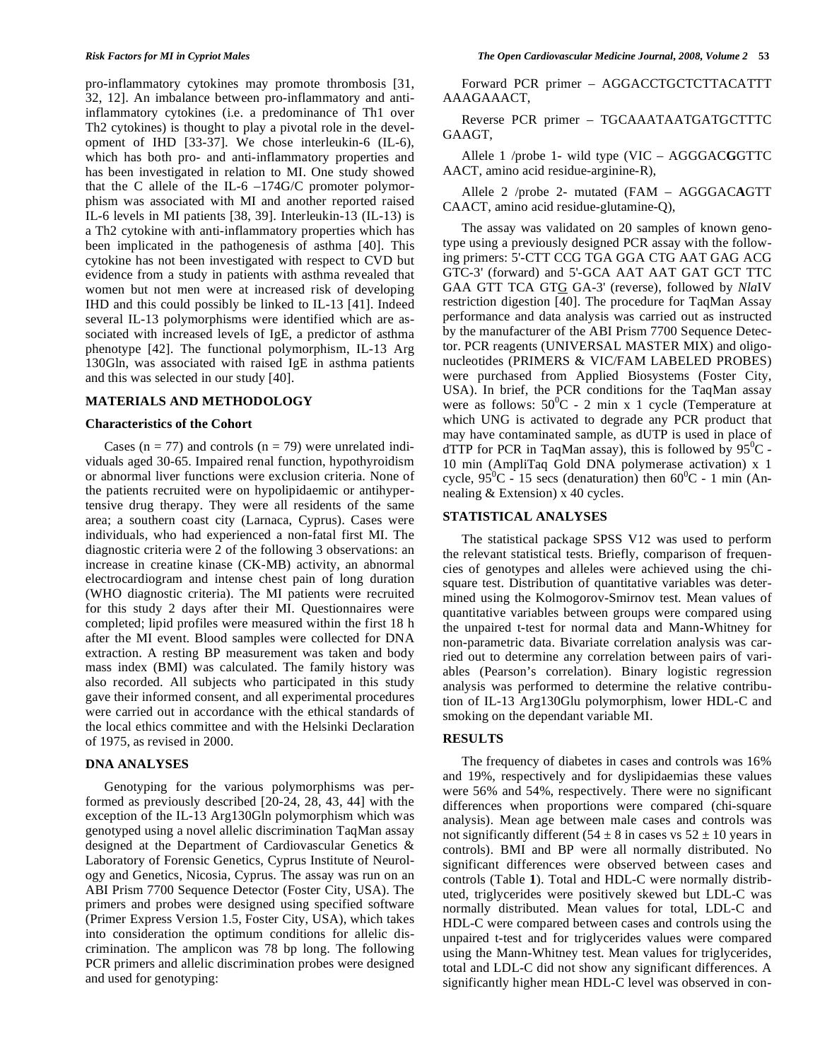pro-inflammatory cytokines may promote thrombosis [31, 32, 12]. An imbalance between pro-inflammatory and antiinflammatory cytokines (i.e. a predominance of Th1 over Th2 cytokines) is thought to play a pivotal role in the development of IHD [33-37]. We chose interleukin-6 (IL-6), which has both pro- and anti-inflammatory properties and has been investigated in relation to MI. One study showed that the C allele of the IL-6  $-174$ G/C promoter polymorphism was associated with MI and another reported raised IL-6 levels in MI patients [38, 39]. Interleukin-13 (IL-13) is a Th2 cytokine with anti-inflammatory properties which has been implicated in the pathogenesis of asthma [40]. This cytokine has not been investigated with respect to CVD but evidence from a study in patients with asthma revealed that women but not men were at increased risk of developing IHD and this could possibly be linked to IL-13 [41]. Indeed several IL-13 polymorphisms were identified which are associated with increased levels of IgE, a predictor of asthma phenotype [42]. The functional polymorphism, IL-13 Arg 130Gln, was associated with raised IgE in asthma patients and this was selected in our study [40].

### **MATERIALS AND METHODOLOGY**

#### **Characteristics of the Cohort**

Cases ( $n = 77$ ) and controls ( $n = 79$ ) were unrelated individuals aged 30-65. Impaired renal function, hypothyroidism or abnormal liver functions were exclusion criteria. None of the patients recruited were on hypolipidaemic or antihypertensive drug therapy. They were all residents of the same area; a southern coast city (Larnaca, Cyprus). Cases were individuals, who had experienced a non-fatal first MI. The diagnostic criteria were 2 of the following 3 observations: an increase in creatine kinase (CK-MB) activity, an abnormal electrocardiogram and intense chest pain of long duration (WHO diagnostic criteria). The MI patients were recruited for this study 2 days after their MI. Questionnaires were completed; lipid profiles were measured within the first 18 h after the MI event. Blood samples were collected for DNA extraction. A resting BP measurement was taken and body mass index (BMI) was calculated. The family history was also recorded. All subjects who participated in this study gave their informed consent, and all experimental procedures were carried out in accordance with the ethical standards of the local ethics committee and with the Helsinki Declaration of 1975, as revised in 2000.

# **DNA ANALYSES**

Genotyping for the various polymorphisms was performed as previously described [20-24, 28, 43, 44] with the exception of the IL-13 Arg130Gln polymorphism which was genotyped using a novel allelic discrimination TaqMan assay designed at the Department of Cardiovascular Genetics & Laboratory of Forensic Genetics, Cyprus Institute of Neurology and Genetics, Nicosia, Cyprus. The assay was run on an ABI Prism 7700 Sequence Detector (Foster City, USA). The primers and probes were designed using specified software (Primer Express Version 1.5, Foster City, USA), which takes into consideration the optimum conditions for allelic discrimination. The amplicon was 78 bp long. The following PCR primers and allelic discrimination probes were designed and used for genotyping:

Forward PCR primer – AGGACCTGCTCTTACATTT AAAGAAACT,

Reverse PCR primer – TGCAAATAATGATGCTTTC GAAGT,

Allele 1 /probe 1- wild type (VIC – AGGGAC**G**GTTC AACT, amino acid residue-arginine-R),

Allele 2 /probe 2- mutated (FAM – AGGGAC**A**GTT CAACT, amino acid residue-glutamine-Q),

The assay was validated on 20 samples of known genotype using a previously designed PCR assay with the following primers: 5'-CTT CCG TGA GGA CTG AAT GAG ACG GTC-3' (forward) and 5'-GCA AAT AAT GAT GCT TTC GAA GTT TCA GTG GA-3' (reverse), followed by *Nla*IV restriction digestion [40]. The procedure for TaqMan Assay performance and data analysis was carried out as instructed by the manufacturer of the ABI Prism 7700 Sequence Detector. PCR reagents (UNIVERSAL MASTER MIX) and oligonucleotides (PRIMERS & VIC/FAM LABELED PROBES) were purchased from Applied Biosystems (Foster City, USA). In brief, the PCR conditions for the TaqMan assay were as follows:  $50^{\circ}$ C - 2 min x 1 cycle (Temperature at which UNG is activated to degrade any PCR product that may have contaminated sample, as dUTP is used in place of dTTP for PCR in TaqMan assay), this is followed by  $95^{\circ}$ C -10 min (AmpliTaq Gold DNA polymerase activation) x 1 cycle,  $95^{\circ}$ C - 15 secs (denaturation) then  $60^{\circ}$ C - 1 min (Annealing & Extension) x 40 cycles.

## **STATISTICAL ANALYSES**

The statistical package SPSS V12 was used to perform the relevant statistical tests. Briefly, comparison of frequencies of genotypes and alleles were achieved using the chisquare test. Distribution of quantitative variables was determined using the Kolmogorov-Smirnov test. Mean values of quantitative variables between groups were compared using the unpaired t-test for normal data and Mann-Whitney for non-parametric data. Bivariate correlation analysis was carried out to determine any correlation between pairs of variables (Pearson's correlation). Binary logistic regression analysis was performed to determine the relative contribution of IL-13 Arg130Glu polymorphism, lower HDL-C and smoking on the dependant variable MI.

# **RESULTS**

The frequency of diabetes in cases and controls was 16% and 19%, respectively and for dyslipidaemias these values were 56% and 54%, respectively. There were no significant differences when proportions were compared (chi-square analysis). Mean age between male cases and controls was not significantly different ( $54 \pm 8$  in cases vs  $52 \pm 10$  years in controls). BMI and BP were all normally distributed. No significant differences were observed between cases and controls (Table **1**). Total and HDL-C were normally distributed, triglycerides were positively skewed but LDL-C was normally distributed. Mean values for total, LDL-C and HDL-C were compared between cases and controls using the unpaired t-test and for triglycerides values were compared using the Mann-Whitney test. Mean values for triglycerides, total and LDL-C did not show any significant differences. A significantly higher mean HDL-C level was observed in con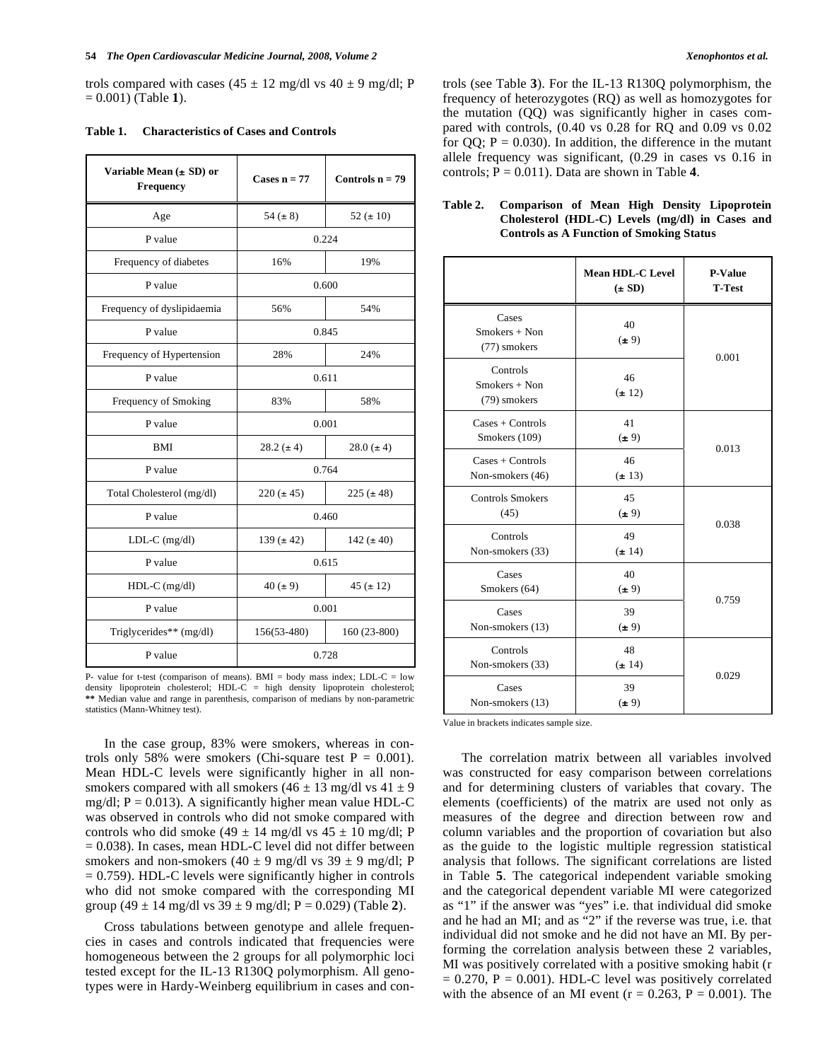trols compared with cases (45  $\pm$  12 mg/dl vs 40  $\pm$  9 mg/dl; P = 0.001) (Table **1**).

| <b>Characteristics of Cases and Controls</b><br>Table 1. |  |  |  |
|----------------------------------------------------------|--|--|--|
|----------------------------------------------------------|--|--|--|

| Variable Mean $(\pm SD)$ or<br><b>Frequency</b> | Cases $n = 77$                   | Controls $n = 79$ |  |
|-------------------------------------------------|----------------------------------|-------------------|--|
| Age                                             | 54 ( $\pm 8$ )                   | 52 ( $\pm$ 10)    |  |
| P value                                         |                                  | 0.224             |  |
| Frequency of diabetes                           | 16%                              | 19%               |  |
| P value                                         |                                  | 0.600             |  |
| Frequency of dyslipidaemia                      | 56%                              | 54%               |  |
| P value                                         |                                  | 0.845             |  |
| Frequency of Hypertension                       | 28%                              | 24%               |  |
| P value                                         |                                  | 0.611             |  |
| Frequency of Smoking                            | 83%                              | 58%               |  |
| P value                                         | 0.001                            |                   |  |
| BMI                                             | $28.2 (\pm 4)$                   | $28.0 (\pm 4)$    |  |
| P value                                         |                                  | 0.764             |  |
| Total Cholesterol (mg/dl)                       | $220 (\pm 45)$<br>$225 (\pm 48)$ |                   |  |
| P value                                         | 0.460                            |                   |  |
| $LDL-C$ (mg/dl)                                 | $139 (\pm 42)$<br>142 $(\pm 40)$ |                   |  |
| P value                                         | 0.615                            |                   |  |
| $HDL-C$ (mg/dl)                                 | $40 (\pm 9)$<br>$45 (\pm 12)$    |                   |  |
| P value                                         |                                  | 0.001             |  |
| Triglycerides** (mg/dl)                         | $156(53-480)$                    | $160(23-800)$     |  |
| P value                                         |                                  | 0.728             |  |

P- value for t-test (comparison of means). BMI = body mass index; LDL-C = low density lipoprotein cholesterol; HDL-C = high density lipoprotein cholesterol; **\*\*** Median value and range in parenthesis, comparison of medians by non-parametric statistics (Mann-Whitney test).

In the case group, 83% were smokers, whereas in controls only 58% were smokers (Chi-square test  $P = 0.001$ ). Mean HDL-C levels were significantly higher in all nonsmokers compared with all smokers (46  $\pm$  13 mg/dl vs 41  $\pm$  9 mg/dl;  $P = 0.013$ ). A significantly higher mean value HDL-C was observed in controls who did not smoke compared with controls who did smoke (49  $\pm$  14 mg/dl vs 45  $\pm$  10 mg/dl; P = 0.038). In cases, mean HDL-C level did not differ between smokers and non-smokers (40  $\pm$  9 mg/dl vs 39  $\pm$  9 mg/dl; P  $= 0.759$ ). HDL-C levels were significantly higher in controls who did not smoke compared with the corresponding MI group (49  $\pm$  14 mg/dl vs 39  $\pm$  9 mg/dl; P = 0.029) (Table 2).

Cross tabulations between genotype and allele frequencies in cases and controls indicated that frequencies were homogeneous between the 2 groups for all polymorphic loci tested except for the IL-13 R130Q polymorphism. All genotypes were in Hardy-Weinberg equilibrium in cases and controls (see Table **3**). For the IL-13 R130Q polymorphism, the frequency of heterozygotes (RQ) as well as homozygotes for the mutation (QQ) was significantly higher in cases compared with controls, (0.40 vs 0.28 for RQ and 0.09 vs 0.02 for  $QQ$ ;  $P = 0.030$ ). In addition, the difference in the mutant allele frequency was significant, (0.29 in cases vs 0.16 in controls;  $P = 0.011$ ). Data are shown in Table 4.

| Table 2. | Comparison of Mean High Density Lipoprotein     |
|----------|-------------------------------------------------|
|          | Cholesterol (HDL-C) Levels (mg/dl) in Cases and |
|          | <b>Controls as A Function of Smoking Status</b> |

|                                                     | Mean HDL-C Level<br>$(\pm SD)$ | <b>P-Value</b><br><b>T-Test</b> |  |
|-----------------------------------------------------|--------------------------------|---------------------------------|--|
| Cases<br>$Smokes + Non$<br>(77) smokers             | 40<br>$(\pm 9)$                | 0.001                           |  |
| Controls<br>$Smokes + Non$<br>(79) smokers          | 46<br>$(\pm 12)$               |                                 |  |
| $\text{Case} + \text{Controls}$<br>Smokers (109)    | 41<br>(± 9)                    | 0.013                           |  |
| $\text{Case} + \text{Controls}$<br>Non-smokers (46) | 46<br>$(\pm 13)$               |                                 |  |
| <b>Controls Smokers</b><br>(45)                     | 45<br>$(\pm 9)$                | 0.038                           |  |
| Controls<br>Non-smokers (33)                        | 49<br>(± 14)                   |                                 |  |
| Cases<br>Smokers (64)                               | 40<br>$(\pm 9)$                | 0.759                           |  |
| Cases<br>Non-smokers (13)                           | 39<br>$(\pm 9)$                |                                 |  |
| Controls<br>Non-smokers (33)                        | 48<br>(± 14)                   | 0.029                           |  |
| Cases<br>Non-smokers (13)                           | 39<br>$(\pm 9)$                |                                 |  |

Value in brackets indicates sample size.

The correlation matrix between all variables involved was constructed for easy comparison between correlations and for determining clusters of variables that covary. The elements (coefficients) of the matrix are used not only as measures of the degree and direction between row and column variables and the proportion of covariation but also as the guide to the logistic multiple regression statistical analysis that follows. The significant correlations are listed in Table **5**. The categorical independent variable smoking and the categorical dependent variable MI were categorized as "1" if the answer was "yes" i.e. that individual did smoke and he had an MI; and as "2" if the reverse was true, i.e. that individual did not smoke and he did not have an MI. By performing the correlation analysis between these 2 variables, MI was positively correlated with a positive smoking habit (r  $= 0.270$ ,  $P = 0.001$ ). HDL-C level was positively correlated with the absence of an MI event ( $r = 0.263$ ,  $P = 0.001$ ). The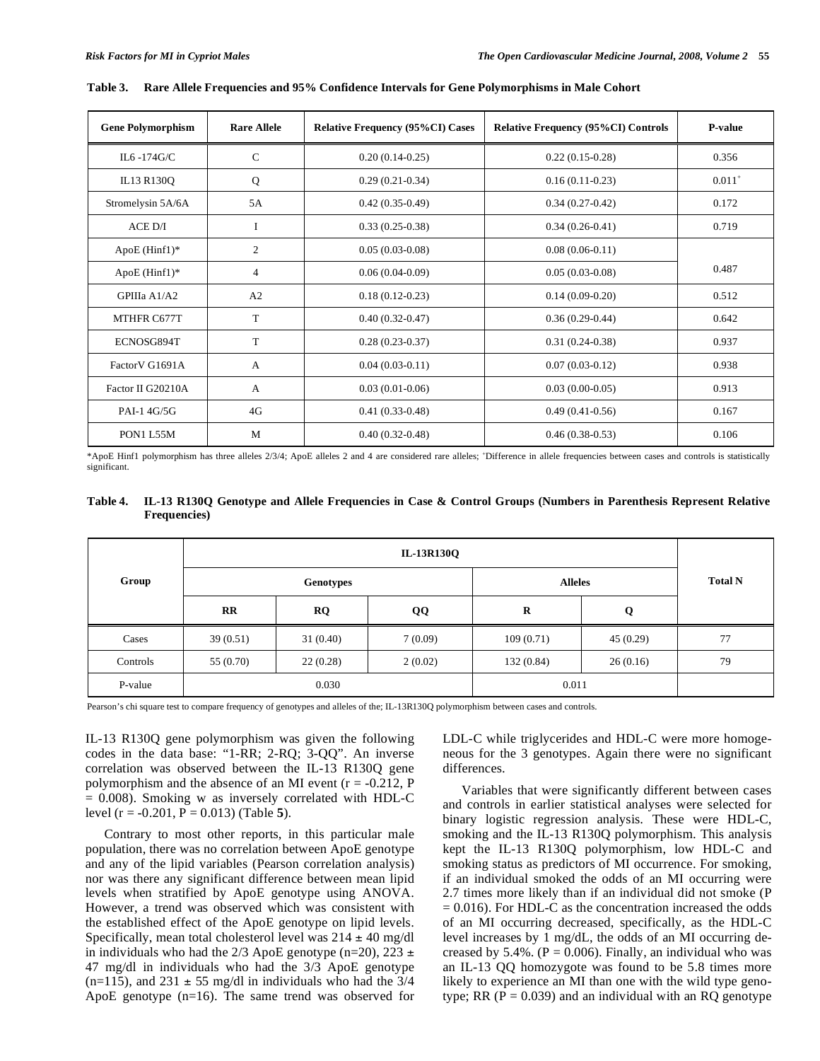| <b>Gene Polymorphism</b> | <b>Rare Allele</b> | <b>Relative Frequency (95%CI) Cases</b> | <b>Relative Frequency (95%CI) Controls</b> | P-value     |
|--------------------------|--------------------|-----------------------------------------|--------------------------------------------|-------------|
| IL6 -174 $G/C$           | $\mathcal{C}$      | $0.20(0.14-0.25)$                       | $0.22(0.15-0.28)$                          | 0.356       |
| IL13 R130Q               | Q                  | $0.29(0.21-0.34)$                       | $0.16(0.11-0.23)$                          | $0.011^{+}$ |
| Stromelysin 5A/6A        | 5A                 | $0.42(0.35-0.49)$                       | $0.34(0.27-0.42)$                          | 0.172       |
| $ACE$ $D/I$              | I                  | $0.33(0.25-0.38)$                       | $0.34(0.26-0.41)$                          | 0.719       |
| $ApoE (Hint1)*$          | 2                  | $0.05(0.03-0.08)$                       | $0.08(0.06-0.11)$                          |             |
| $ApoE$ (Hinf1)*          | 4                  | $0.06(0.04-0.09)$                       | $0.05(0.03-0.08)$                          | 0.487       |
| GPIIIa A1/A2             | A2                 | $0.18(0.12-0.23)$                       | $0.14(0.09-0.20)$                          | 0.512       |
| MTHFR C677T              | T                  | $0.40(0.32 - 0.47)$                     | $0.36(0.29-0.44)$                          | 0.642       |
| ECNOSG894T               | T                  | $0.28(0.23-0.37)$                       | $0.31(0.24-0.38)$                          | 0.937       |
| Factor VG1691A           | A                  | $0.04(0.03-0.11)$                       | $0.07(0.03-0.12)$                          | 0.938       |
| Factor II G20210A        | A                  | $0.03(0.01-0.06)$                       | $0.03(0.00-0.05)$                          | 0.913       |
| PAI-1 4G/5G              | 4G                 | $0.41(0.33-0.48)$                       | $0.49(0.41-0.56)$                          | 0.167       |
| PON1 L55M                | M                  | $0.40(0.32 - 0.48)$                     | $0.46(0.38-0.53)$                          | 0.106       |

**Table 3. Rare Allele Frequencies and 95% Confidence Intervals for Gene Polymorphisms in Male Cohort** 

\*ApoE Hinf1 polymorphism has three alleles 2/3/4; ApoE alleles 2 and 4 are considered rare alleles; <sup>+</sup> Difference in allele frequencies between cases and controls is statistically significant.

| Table 4. IL-13 R130Q Genotype and Allele Frequencies in Case & Control Groups (Numbers in Parenthesis Represent Relative |
|--------------------------------------------------------------------------------------------------------------------------|
| <b>Frequencies</b> )                                                                                                     |

|          | IL-13R130Q   |           |                |                |          |    |
|----------|--------------|-----------|----------------|----------------|----------|----|
| Group    | Genotypes    |           | <b>Alleles</b> | <b>Total N</b> |          |    |
|          | $\mathbf{R}$ | <b>RQ</b> | QQ             | R              | Q        |    |
| Cases    | 39(0.51)     | 31(0.40)  | 7(0.09)        | 109(0.71)      | 45(0.29) | 77 |
| Controls | 55 (0.70)    | 22(0.28)  | 2(0.02)        | 132(0.84)      | 26(0.16) | 79 |
| P-value  |              | 0.030     |                | 0.011          |          |    |

Pearson's chi square test to compare frequency of genotypes and alleles of the; IL-13R130Q polymorphism between cases and controls.

IL-13 R130Q gene polymorphism was given the following codes in the data base: "1-RR; 2-RQ; 3-QQ". An inverse correlation was observed between the IL-13 R130Q gene polymorphism and the absence of an MI event  $(r = -0.212, P)$  $= 0.008$ ). Smoking w as inversely correlated with HDL-C level (r = -0.201, P = 0.013) (Table **5**).

Contrary to most other reports, in this particular male population, there was no correlation between ApoE genotype and any of the lipid variables (Pearson correlation analysis) nor was there any significant difference between mean lipid levels when stratified by ApoE genotype using ANOVA. However, a trend was observed which was consistent with the established effect of the ApoE genotype on lipid levels. Specifically, mean total cholesterol level was  $214 \pm 40$  mg/dl in individuals who had the 2/3 ApoE genotype (n=20), 223  $\pm$ 47 mg/dl in individuals who had the 3/3 ApoE genotype (n=115), and 231  $\pm$  55 mg/dl in individuals who had the 3/4 ApoE genotype (n=16). The same trend was observed for LDL-C while triglycerides and HDL-C were more homogeneous for the 3 genotypes. Again there were no significant differences.

Variables that were significantly different between cases and controls in earlier statistical analyses were selected for binary logistic regression analysis. These were HDL-C, smoking and the IL-13 R130Q polymorphism. This analysis kept the IL-13 R130Q polymorphism, low HDL-C and smoking status as predictors of MI occurrence. For smoking, if an individual smoked the odds of an MI occurring were 2.7 times more likely than if an individual did not smoke (P  $= 0.016$ ). For HDL-C as the concentration increased the odds of an MI occurring decreased, specifically, as the HDL-C level increases by 1 mg/dL, the odds of an MI occurring decreased by 5.4%. ( $P = 0.006$ ). Finally, an individual who was an IL-13 QQ homozygote was found to be 5.8 times more likely to experience an MI than one with the wild type genotype; RR ( $P = 0.039$ ) and an individual with an RQ genotype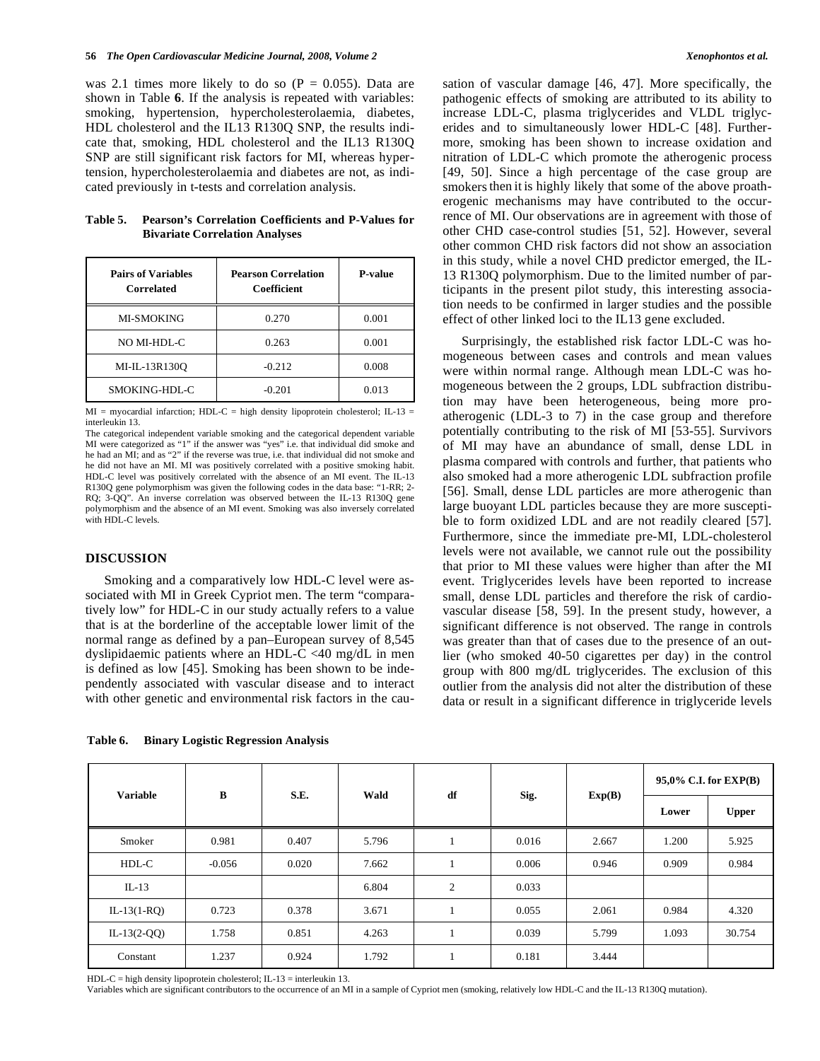was 2.1 times more likely to do so  $(P = 0.055)$ . Data are shown in Table **6**. If the analysis is repeated with variables: smoking, hypertension, hypercholesterolaemia, diabetes, HDL cholesterol and the IL13 R130Q SNP, the results indicate that, smoking, HDL cholesterol and the IL13 R130Q SNP are still significant risk factors for MI, whereas hypertension, hypercholesterolaemia and diabetes are not, as indicated previously in t-tests and correlation analysis.

| Table 5. | <b>Pearson's Correlation Coefficients and P-Values for</b> |
|----------|------------------------------------------------------------|
|          | <b>Bivariate Correlation Analyses</b>                      |

| <b>Pairs of Variables</b><br>Correlated | <b>Pearson Correlation</b><br>Coefficient | <b>P-value</b> |  |
|-----------------------------------------|-------------------------------------------|----------------|--|
| <b>MI-SMOKING</b>                       | 0.270                                     | 0.001          |  |
| NO MI-HDL-C                             | 0.263                                     | 0.001          |  |
| MI-IL-13R130O                           | $-0.212$                                  | 0.008          |  |
| SMOKING-HDL-C                           | $-0.201$                                  | 0.013          |  |

 $MI$  = myocardial infarction; HDL-C = high density lipoprotein cholesterol; IL-13 = interleukin 13.

The categorical independent variable smoking and the categorical dependent variable MI were categorized as "1" if the answer was "yes" i.e. that individual did smoke and he had an MI; and as "2" if the reverse was true, i.e. that individual did not smoke and he did not have an MI. MI was positively correlated with a positive smoking habit. HDL-C level was positively correlated with the absence of an MI event. The IL-13 R130Q gene polymorphism was given the following codes in the data base: "1-RR; 2- RQ; 3-QQ". An inverse correlation was observed between the IL-13 R130Q gene polymorphism and the absence of an MI event. Smoking was also inversely correlated with HDL-C levels.

# **DISCUSSION**

Smoking and a comparatively low HDL-C level were associated with MI in Greek Cypriot men. The term "comparatively low" for HDL-C in our study actually refers to a value that is at the borderline of the acceptable lower limit of the normal range as defined by a pan–European survey of 8,545 dyslipidaemic patients where an HDL-C <40 mg/dL in men is defined as low [45]. Smoking has been shown to be independently associated with vascular disease and to interact with other genetic and environmental risk factors in the cau-

**Table 6. Binary Logistic Regression Analysis** 

sation of vascular damage [46, 47]. More specifically, the pathogenic effects of smoking are attributed to its ability to increase LDL-C, plasma triglycerides and VLDL triglycerides and to simultaneously lower HDL-C [48]. Furthermore, smoking has been shown to increase oxidation and nitration of LDL-C which promote the atherogenic process [49, 50]. Since a high percentage of the case group are smokers then it is highly likely that some of the above proatherogenic mechanisms may have contributed to the occurrence of MI. Our observations are in agreement with those of other CHD case-control studies [51, 52]. However, several other common CHD risk factors did not show an association in this study, while a novel CHD predictor emerged, the IL-13 R130Q polymorphism. Due to the limited number of participants in the present pilot study, this interesting association needs to be confirmed in larger studies and the possible effect of other linked loci to the IL13 gene excluded.

Surprisingly, the established risk factor LDL-C was homogeneous between cases and controls and mean values were within normal range. Although mean LDL-C was homogeneous between the 2 groups, LDL subfraction distribution may have been heterogeneous, being more proatherogenic (LDL-3 to 7) in the case group and therefore potentially contributing to the risk of MI [53-55]. Survivors of MI may have an abundance of small, dense LDL in plasma compared with controls and further, that patients who also smoked had a more atherogenic LDL subfraction profile [56]. Small, dense LDL particles are more atherogenic than large buoyant LDL particles because they are more susceptible to form oxidized LDL and are not readily cleared [57]. Furthermore, since the immediate pre-MI, LDL-cholesterol levels were not available, we cannot rule out the possibility that prior to MI these values were higher than after the MI event. Triglycerides levels have been reported to increase small, dense LDL particles and therefore the risk of cardiovascular disease [58, 59]. In the present study, however, a significant difference is not observed. The range in controls was greater than that of cases due to the presence of an outlier (who smoked 40-50 cigarettes per day) in the control group with 800 mg/dL triglycerides. The exclusion of this outlier from the analysis did not alter the distribution of these data or result in a significant difference in triglyceride levels

| <b>Variable</b> | B        | S.E.  | Wald  | df | Sig.  | Exp(B) | $95,0\%$ C.I. for EXP(B) |              |
|-----------------|----------|-------|-------|----|-------|--------|--------------------------|--------------|
|                 |          |       |       |    |       |        | Lower                    | <b>Upper</b> |
| Smoker          | 0.981    | 0.407 | 5.796 |    | 0.016 | 2.667  | 1.200                    | 5.925        |
| HDL-C           | $-0.056$ | 0.020 | 7.662 |    | 0.006 | 0.946  | 0.909                    | 0.984        |
| $IL-13$         |          |       | 6.804 | 2  | 0.033 |        |                          |              |
| $IL-13(1-RQ)$   | 0.723    | 0.378 | 3.671 |    | 0.055 | 2.061  | 0.984                    | 4.320        |
| $IL-13(2-QQ)$   | 1.758    | 0.851 | 4.263 |    | 0.039 | 5.799  | 1.093                    | 30.754       |
| Constant        | 1.237    | 0.924 | 1.792 |    | 0.181 | 3.444  |                          |              |

HDL-C = high density lipoprotein cholesterol; IL-13 = interleukin 13.

Variables which are significant contributors to the occurrence of an MI in a sample of Cypriot men (smoking, relatively low HDL-C and the IL-13 R130Q mutation).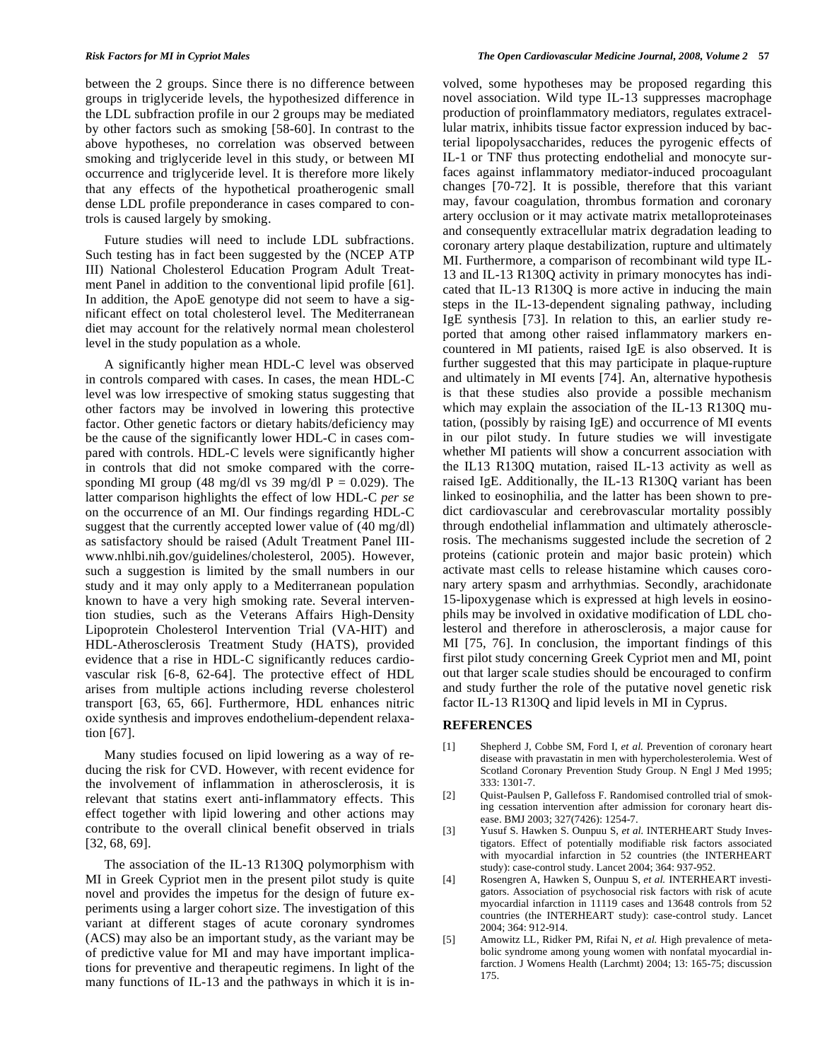between the 2 groups. Since there is no difference between groups in triglyceride levels, the hypothesized difference in the LDL subfraction profile in our 2 groups may be mediated by other factors such as smoking [58-60]. In contrast to the above hypotheses, no correlation was observed between smoking and triglyceride level in this study, or between MI occurrence and triglyceride level. It is therefore more likely that any effects of the hypothetical proatherogenic small dense LDL profile preponderance in cases compared to controls is caused largely by smoking.

Future studies will need to include LDL subfractions. Such testing has in fact been suggested by the (NCEP ATP III) National Cholesterol Education Program Adult Treatment Panel in addition to the conventional lipid profile [61]. In addition, the ApoE genotype did not seem to have a significant effect on total cholesterol level. The Mediterranean diet may account for the relatively normal mean cholesterol level in the study population as a whole.

A significantly higher mean HDL-C level was observed in controls compared with cases. In cases, the mean HDL-C level was low irrespective of smoking status suggesting that other factors may be involved in lowering this protective factor. Other genetic factors or dietary habits/deficiency may be the cause of the significantly lower HDL-C in cases compared with controls. HDL-C levels were significantly higher in controls that did not smoke compared with the corresponding MI group (48 mg/dl vs 39 mg/dl  $P = 0.029$ ). The latter comparison highlights the effect of low HDL-C *per se* on the occurrence of an MI. Our findings regarding HDL-C suggest that the currently accepted lower value of (40 mg/dl) as satisfactory should be raised (Adult Treatment Panel IIIwww.nhlbi.nih.gov/guidelines/cholesterol, 2005). However, such a suggestion is limited by the small numbers in our study and it may only apply to a Mediterranean population known to have a very high smoking rate. Several intervention studies, such as the Veterans Affairs High-Density Lipoprotein Cholesterol Intervention Trial (VA-HIT) and HDL-Atherosclerosis Treatment Study (HATS), provided evidence that a rise in HDL-C significantly reduces cardiovascular risk [6-8, 62-64]. The protective effect of HDL arises from multiple actions including reverse cholesterol transport [63, 65, 66]. Furthermore, HDL enhances nitric oxide synthesis and improves endothelium-dependent relaxation [67].

Many studies focused on lipid lowering as a way of reducing the risk for CVD. However, with recent evidence for the involvement of inflammation in atherosclerosis, it is relevant that statins exert anti-inflammatory effects. This effect together with lipid lowering and other actions may contribute to the overall clinical benefit observed in trials [32, 68, 69].

The association of the IL-13 R130Q polymorphism with MI in Greek Cypriot men in the present pilot study is quite novel and provides the impetus for the design of future experiments using a larger cohort size. The investigation of this variant at different stages of acute coronary syndromes (ACS) may also be an important study, as the variant may be of predictive value for MI and may have important implications for preventive and therapeutic regimens. In light of the many functions of IL-13 and the pathways in which it is involved, some hypotheses may be proposed regarding this novel association. Wild type IL-13 suppresses macrophage production of proinflammatory mediators, regulates extracellular matrix, inhibits tissue factor expression induced by bacterial lipopolysaccharides, reduces the pyrogenic effects of IL-1 or TNF thus protecting endothelial and monocyte surfaces against inflammatory mediator-induced procoagulant changes [70-72]. It is possible, therefore that this variant may, favour coagulation, thrombus formation and coronary artery occlusion or it may activate matrix metalloproteinases and consequently extracellular matrix degradation leading to coronary artery plaque destabilization, rupture and ultimately MI. Furthermore, a comparison of recombinant wild type IL-13 and IL-13 R130Q activity in primary monocytes has indicated that IL-13 R130Q is more active in inducing the main steps in the IL-13-dependent signaling pathway, including IgE synthesis [73]. In relation to this, an earlier study reported that among other raised inflammatory markers encountered in MI patients, raised IgE is also observed. It is further suggested that this may participate in plaque-rupture and ultimately in MI events [74]. An, alternative hypothesis is that these studies also provide a possible mechanism which may explain the association of the IL-13 R130Q mutation, (possibly by raising IgE) and occurrence of MI events in our pilot study. In future studies we will investigate whether MI patients will show a concurrent association with the IL13 R130Q mutation, raised IL-13 activity as well as raised IgE. Additionally, the IL-13 R130Q variant has been linked to eosinophilia, and the latter has been shown to predict cardiovascular and cerebrovascular mortality possibly through endothelial inflammation and ultimately atherosclerosis. The mechanisms suggested include the secretion of 2 proteins (cationic protein and major basic protein) which activate mast cells to release histamine which causes coronary artery spasm and arrhythmias. Secondly, arachidonate 15-lipoxygenase which is expressed at high levels in eosinophils may be involved in oxidative modification of LDL cholesterol and therefore in atherosclerosis, a major cause for MI [75, 76]. In conclusion, the important findings of this first pilot study concerning Greek Cypriot men and MI, point out that larger scale studies should be encouraged to confirm and study further the role of the putative novel genetic risk factor IL-13 R130Q and lipid levels in MI in Cyprus.

# **REFERENCES**

- [1] Shepherd J, Cobbe SM, Ford I, *et al.* Prevention of coronary heart disease with pravastatin in men with hypercholesterolemia. West of Scotland Coronary Prevention Study Group. N Engl J Med 1995; 333: 1301-7.
- [2] Quist-Paulsen P, Gallefoss F. Randomised controlled trial of smoking cessation intervention after admission for coronary heart disease. BMJ 2003; 327(7426): 1254-7.
- [3] Yusuf S. Hawken S. Ounpuu S, *et al.* INTERHEART Study Investigators. Effect of potentially modifiable risk factors associated with myocardial infarction in 52 countries (the INTERHEART study): case-control study. Lancet 2004; 364: 937-952.
- [4] Rosengren A, Hawken S, Ounpuu S, *et al.* INTERHEART investigators. Association of psychosocial risk factors with risk of acute myocardial infarction in 11119 cases and 13648 controls from 52 countries (the INTERHEART study): case-control study. Lancet 2004; 364: 912-914.
- [5] Amowitz LL, Ridker PM, Rifai N, *et al.* High prevalence of metabolic syndrome among young women with nonfatal myocardial infarction. J Womens Health (Larchmt) 2004; 13: 165-75; discussion 175.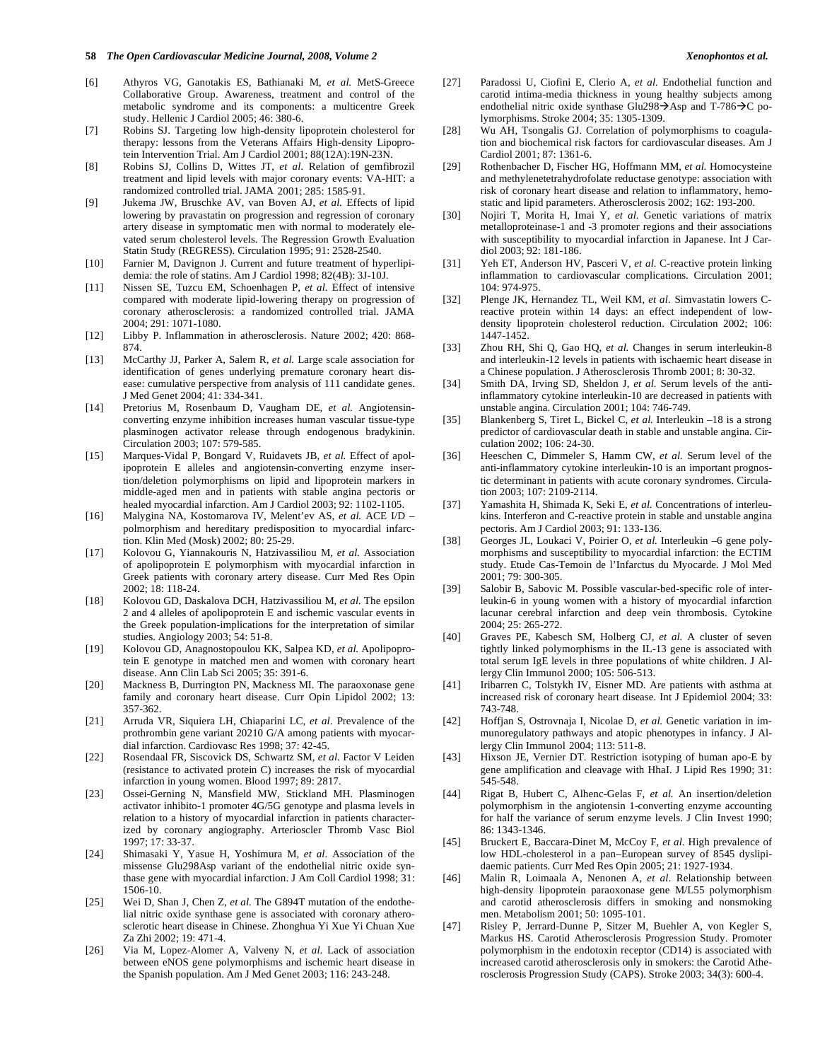- [6] Athyros VG, Ganotakis ES, Bathianaki M, *et al.* MetS-Greece Collaborative Group. Awareness, treatment and control of the metabolic syndrome and its components: a multicentre Greek study. Hellenic J Cardiol 2005; 46: 380-6.
- [7] Robins SJ. Targeting low high-density lipoprotein cholesterol for therapy: lessons from the Veterans Affairs High-density Lipoprotein Intervention Trial. Am J Cardiol 2001; 88(12A):19N-23N.
- [8] Robins SJ, Collins D, Wittes JT, *et al.* Relation of gemfibrozil treatment and lipid levels with major coronary events: VA-HIT: a randomized controlled trial. JAMA 2001; 285: 1585-91.
- [9] Jukema JW, Bruschke AV, van Boven AJ, *et al.* Effects of lipid lowering by pravastatin on progression and regression of coronary artery disease in symptomatic men with normal to moderately elevated serum cholesterol levels. The Regression Growth Evaluation Statin Study (REGRESS). Circulation 1995; 91: 2528-2540.
- [10] Farnier M, Davignon J. Current and future treatment of hyperlipidemia: the role of statins. Am J Cardiol 1998; 82(4B): 3J-10J.
- [11] Nissen SE, Tuzcu EM, Schoenhagen P, *et al.* Effect of intensive compared with moderate lipid-lowering therapy on progression of coronary atherosclerosis: a randomized controlled trial. JAMA 2004; 291: 1071-1080.
- [12] Libby P. Inflammation in atherosclerosis. Nature 2002; 420: 868- 874.
- [13] McCarthy JJ, Parker A, Salem R, *et al.* Large scale association for identification of genes underlying premature coronary heart disease: cumulative perspective from analysis of 111 candidate genes. J Med Genet 2004; 41: 334-341.
- [14] Pretorius M, Rosenbaum D, Vaugham DE, *et al.* Angiotensinconverting enzyme inhibition increases human vascular tissue-type plasminogen activator release through endogenous bradykinin. Circulation 2003; 107: 579-585.
- [15] Marques-Vidal P, Bongard V, Ruidavets JB, *et al.* Effect of apolipoprotein E alleles and angiotensin-converting enzyme insertion/deletion polymorphisms on lipid and lipoprotein markers in middle-aged men and in patients with stable angina pectoris or healed myocardial infarction. Am J Cardiol 2003; 92: 1102-1105.
- [16] Malygina NA, Kostomarova IV, Melent'ev AS, *et al.* ACE I/D polmorphism and hereditary predisposition to myocardial infarction. Klin Med (Mosk) 2002; 80: 25-29.
- [17] Kolovou G, Yiannakouris N, Hatzivassiliou M, *et al.* Association of apolipoprotein E polymorphism with myocardial infarction in Greek patients with coronary artery disease. Curr Med Res Opin 2002; 18: 118-24.
- [18] Kolovou GD, Daskalova DCH, Hatzivassiliou M, *et al.* The epsilon 2 and 4 alleles of apolipoprotein E and ischemic vascular events in the Greek population-implications for the interpretation of similar studies. Angiology 2003; 54: 51-8.
- [19] Kolovou GD, Anagnostopoulou KK, Salpea KD, *et al.* Apolipoprotein E genotype in matched men and women with coronary heart disease. Ann Clin Lab Sci 2005; 35: 391-6.
- [20] Mackness B, Durrington PN, Mackness MI. The paraoxonase gene family and coronary heart disease. Curr Opin Lipidol 2002; 13: 357-362.
- [21] Arruda VR, Siquiera LH, Chiaparini LC, *et al.* Prevalence of the prothrombin gene variant 20210 G/A among patients with myocardial infarction. Cardiovasc Res 1998; 37: 42-45.
- [22] Rosendaal FR, Siscovick DS, Schwartz SM, *et al.* Factor V Leiden (resistance to activated protein C) increases the risk of myocardial infarction in young women. Blood 1997; 89: 2817.
- [23] Ossei-Gerning N, Mansfield MW, Stickland MH. Plasminogen activator inhibito-1 promoter 4G/5G genotype and plasma levels in relation to a history of myocardial infarction in patients characterized by coronary angiography. Arterioscler Thromb Vasc Biol 1997; 17: 33-37.
- [24] Shimasaki Y, Yasue H, Yoshimura M, *et al*. Association of the missense Glu298Asp variant of the endothelial nitric oxide synthase gene with myocardial infarction. J Am Coll Cardiol 1998; 31: 1506-10.
- [25] Wei D, Shan J, Chen Z, *et al.* The G894T mutation of the endothelial nitric oxide synthase gene is associated with coronary atherosclerotic heart disease in Chinese. Zhonghua Yi Xue Yi Chuan Xue Za Zhi 2002; 19: 471-4.
- [26] Via M, Lopez-Alomer A, Valveny N, *et al*. Lack of association between eNOS gene polymorphisms and ischemic heart disease in the Spanish population. Am J Med Genet 2003; 116: 243-248.
- [27] Paradossi U, Ciofini E, Clerio A, *et al.* Endothelial function and carotid intima-media thickness in young healthy subjects among endothelial nitric oxide synthase Glu298 $\rightarrow$ Asp and T-786 $\rightarrow$ C polymorphisms. Stroke 2004; 35: 1305-1309.
- [28] Wu AH, Tsongalis GJ. Correlation of polymorphisms to coagulation and biochemical risk factors for cardiovascular diseases. Am J Cardiol 2001; 87: 1361-6.
- [29] Rothenbacher D, Fischer HG, Hoffmann MM, *et al.* Homocysteine and methylenetetrahydrofolate reductase genotype: association with risk of coronary heart disease and relation to inflammatory, hemostatic and lipid parameters. Atherosclerosis 2002; 162: 193-200.
- [30] Nojiri T, Morita H, Imai Y, *et al.* Genetic variations of matrix metalloproteinase-1 and -3 promoter regions and their associations with susceptibility to myocardial infarction in Japanese. Int J Cardiol 2003; 92: 181-186.
- [31] Yeh ET, Anderson HV, Pasceri V, *et al.* C-reactive protein linking inflammation to cardiovascular complications. Circulation 2001; 104: 974-975.
- [32] Plenge JK, Hernandez TL, Weil KM, *et al.* Simvastatin lowers Creactive protein within 14 days: an effect independent of lowdensity lipoprotein cholesterol reduction. Circulation 2002; 106: 1447-1452.
- [33] Zhou RH, Shi Q, Gao HQ, *et al.* Changes in serum interleukin-8 and interleukin-12 levels in patients with ischaemic heart disease in a Chinese population. J Atherosclerosis Thromb 2001; 8: 30-32.
- [34] Smith DA, Irving SD, Sheldon J, *et al.* Serum levels of the antiinflammatory cytokine interleukin-10 are decreased in patients with unstable angina. Circulation 2001; 104: 746-749.
- [35] Blankenberg S, Tiret L, Bickel C, *et al.* Interleukin –18 is a strong predictor of cardiovascular death in stable and unstable angina. Circulation 2002; 106: 24-30.
- [36] Heeschen C, Dimmeler S, Hamm CW, *et al.* Serum level of the anti-inflammatory cytokine interleukin-10 is an important prognostic determinant in patients with acute coronary syndromes. Circulation 2003; 107: 2109-2114.
- [37] Yamashita H, Shimada K, Seki E, *et al.* Concentrations of interleukins. Interferon and C-reactive protein in stable and unstable angina pectoris. Am J Cardiol 2003; 91: 133-136.
- [38] Georges JL, Loukaci V, Poirier O, *et al.* Interleukin –6 gene polymorphisms and susceptibility to myocardial infarction: the ECTIM study. Etude Cas-Temoin de l'Infarctus du Myocarde. J Mol Med 2001; 79: 300-305.
- [39] Salobir B, Sabovic M. Possible vascular-bed-specific role of interleukin-6 in young women with a history of myocardial infarction lacunar cerebral infarction and deep vein thrombosis. Cytokine 2004; 25: 265-272.
- [40] Graves PE, Kabesch SM, Holberg CJ, *et al.* A cluster of seven tightly linked polymorphisms in the IL-13 gene is associated with total serum IgE levels in three populations of white children. J Allergy Clin Immunol 2000; 105: 506-513.
- [41] Iribarren C, Tolstykh IV, Eisner MD. Are patients with asthma at increased risk of coronary heart disease. Int J Epidemiol 2004; 33: 743-748.
- [42] Hoffjan S, Ostrovnaja I, Nicolae D, *et al.* Genetic variation in immunoregulatory pathways and atopic phenotypes in infancy. J Allergy Clin Immunol 2004; 113: 511-8.
- [43] Hixson JE, Vernier DT. Restriction isotyping of human apo-E by gene amplification and cleavage with HhaI. J Lipid Res 1990; 31: 545-548.
- [44] Rigat B, Hubert C, Alhenc-Gelas F, *et al.* An insertion/deletion polymorphism in the angiotensin 1-converting enzyme accounting for half the variance of serum enzyme levels. J Clin Invest 1990; 86: 1343-1346.
- [45] Bruckert E, Baccara-Dinet M, McCoy F, *et al.* High prevalence of low HDL-cholesterol in a pan–European survey of 8545 dyslipidaemic patients. Curr Med Res Opin 2005; 21: 1927-1934.
- [46] Malin R, Loimaala A, Nenonen A, *et al*. Relationship between high-density lipoprotein paraoxonase gene M/L55 polymorphism and carotid atherosclerosis differs in smoking and nonsmoking men. Metabolism 2001; 50: 1095-101.
- [47] Risley P, Jerrard-Dunne P, Sitzer M, Buehler A, von Kegler S, Markus HS. Carotid Atherosclerosis Progression Study. Promoter polymorphism in the endotoxin receptor (CD14) is associated with increased carotid atherosclerosis only in smokers: the Carotid Atherosclerosis Progression Study (CAPS). Stroke 2003; 34(3): 600-4.